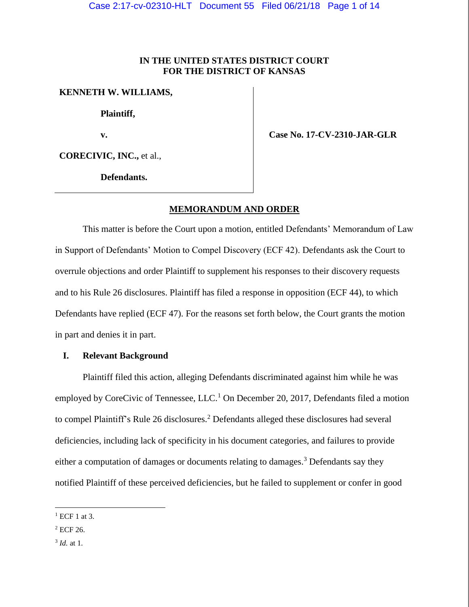# **IN THE UNITED STATES DISTRICT COURT FOR THE DISTRICT OF KANSAS**

### **KENNETH W. WILLIAMS,**

**Plaintiff,**

**v.**

 **Case No. 17-CV-2310-JAR-GLR**

**CORECIVIC, INC.,** et al.,

**Defendants.**

## **MEMORANDUM AND ORDER**

This matter is before the Court upon a motion, entitled Defendants' Memorandum of Law in Support of Defendants' Motion to Compel Discovery (ECF 42). Defendants ask the Court to overrule objections and order Plaintiff to supplement his responses to their discovery requests and to his Rule 26 disclosures. Plaintiff has filed a response in opposition (ECF 44), to which Defendants have replied (ECF 47). For the reasons set forth below, the Court grants the motion in part and denies it in part.

## **I. Relevant Background**

Plaintiff filed this action, alleging Defendants discriminated against him while he was employed by CoreCivic of Tennessee, LLC.<sup>1</sup> On December 20, 2017, Defendants filed a motion to compel Plaintiff's Rule 26 disclosures.<sup>2</sup> Defendants alleged these disclosures had several deficiencies, including lack of specificity in his document categories, and failures to provide either a computation of damages or documents relating to damages.<sup>3</sup> Defendants say they notified Plaintiff of these perceived deficiencies, but he failed to supplement or confer in good

 $<sup>1</sup>$  ECF 1 at 3.</sup>

<sup>&</sup>lt;sup>2</sup> ECF 26.

<sup>3</sup> *Id.* at 1.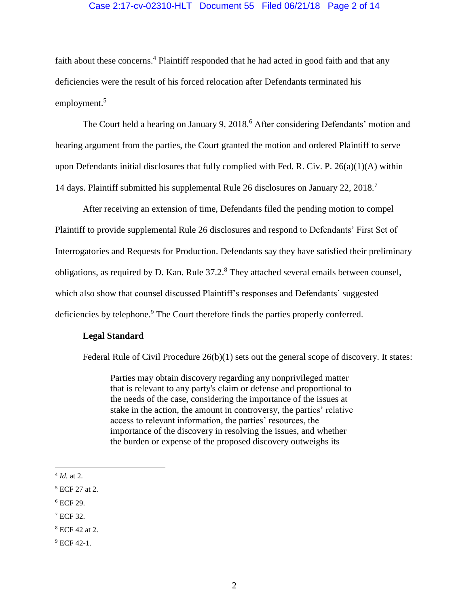## Case 2:17-cv-02310-HLT Document 55 Filed 06/21/18 Page 2 of 14

faith about these concerns.<sup>4</sup> Plaintiff responded that he had acted in good faith and that any deficiencies were the result of his forced relocation after Defendants terminated his employment.<sup>5</sup>

The Court held a hearing on January 9, 2018.<sup>6</sup> After considering Defendants' motion and hearing argument from the parties, the Court granted the motion and ordered Plaintiff to serve upon Defendants initial disclosures that fully complied with Fed. R. Civ. P. 26(a)(1)(A) within 14 days. Plaintiff submitted his supplemental Rule 26 disclosures on January 22, 2018.<sup>7</sup>

After receiving an extension of time, Defendants filed the pending motion to compel Plaintiff to provide supplemental Rule 26 disclosures and respond to Defendants' First Set of Interrogatories and Requests for Production. Defendants say they have satisfied their preliminary obligations, as required by D. Kan. Rule 37.2.<sup>8</sup> They attached several emails between counsel, which also show that counsel discussed Plaintiff's responses and Defendants' suggested deficiencies by telephone.<sup>9</sup> The Court therefore finds the parties properly conferred.

## **Legal Standard**

Federal Rule of Civil Procedure 26(b)(1) sets out the general scope of discovery. It states:

Parties may obtain discovery regarding any nonprivileged matter that is relevant to any party's claim or defense and proportional to the needs of the case, considering the importance of the issues at stake in the action, the amount in controversy, the parties' relative access to relevant information, the parties' resources, the importance of the discovery in resolving the issues, and whether the burden or expense of the proposed discovery outweighs its

 $\overline{a}$ 

 $6$  ECF 29.

<sup>4</sup> *Id.* at 2.

<sup>5</sup> ECF 27 at 2.

<sup>7</sup> ECF 32.

<sup>8</sup> ECF 42 at 2.

 $9$  ECF 42-1.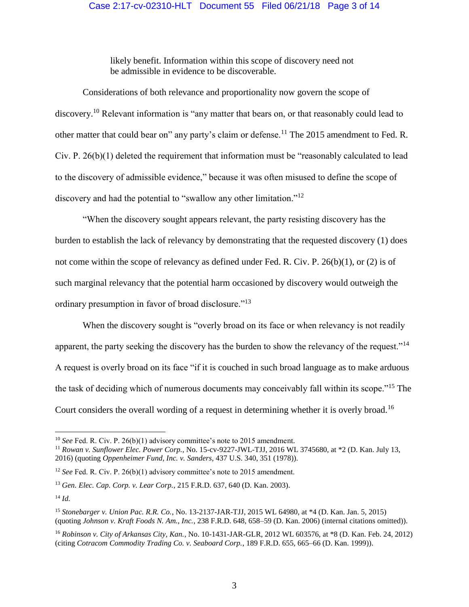## Case 2:17-cv-02310-HLT Document 55 Filed 06/21/18 Page 3 of 14

likely benefit. Information within this scope of discovery need not be admissible in evidence to be discoverable.

Considerations of both relevance and proportionality now govern the scope of discovery.<sup>10</sup> Relevant information is "any matter that bears on, or that reasonably could lead to other matter that could bear on" any party's claim or defense.<sup>11</sup> The 2015 amendment to Fed. R. Civ. P. 26(b)(1) deleted the requirement that information must be "reasonably calculated to lead to the discovery of admissible evidence," because it was often misused to define the scope of discovery and had the potential to "swallow any other limitation."<sup>12</sup>

"When the discovery sought appears relevant, the party resisting discovery has the burden to establish the lack of relevancy by demonstrating that the requested discovery (1) does not come within the scope of relevancy as defined under Fed. R. Civ. P. 26(b)(1), or (2) is of such marginal relevancy that the potential harm occasioned by discovery would outweigh the ordinary presumption in favor of broad disclosure."<sup>13</sup>

When the discovery sought is "overly broad on its face or when relevancy is not readily apparent, the party seeking the discovery has the burden to show the relevancy of the request."<sup>14</sup> A request is overly broad on its face "if it is couched in such broad language as to make arduous the task of deciding which of numerous documents may conceivably fall within its scope."<sup>15</sup> The Court considers the overall wording of a request in determining whether it is overly broad.<sup>16</sup>

<sup>&</sup>lt;sup>10</sup> *See* Fed. R. Civ. P. 26(b)(1) advisory committee's note to 2015 amendment.

<sup>11</sup> *Rowan v. Sunflower Elec. Power Corp.*, No. 15-cv-9227-JWL-TJJ, 2016 WL 3745680, at \*2 (D. Kan. July 13, 2016) (quoting *Oppenheimer Fund, Inc. v. Sanders*, 437 U.S. 340, 351 (1978)).

<sup>&</sup>lt;sup>12</sup> *See* Fed. R. Civ. P. 26(b)(1) advisory committee's note to 2015 amendment.

<sup>13</sup> *Gen. Elec. Cap. Corp. v. Lear Corp.*, 215 F.R.D. 637, 640 (D. Kan. 2003).

<sup>14</sup> *Id.*

<sup>15</sup> *Stonebarger v. Union Pac. R.R. Co.*, No. 13-2137-JAR-TJJ, 2015 WL 64980, at \*4 (D. Kan. Jan. 5, 2015) (quoting *Johnson v. Kraft Foods N. Am., Inc.*, 238 F.R.D. 648, 658–59 (D. Kan. 2006) (internal citations omitted)).

<sup>16</sup> *Robinson v. City of Arkansas City, Kan.*, No. 10-1431-JAR-GLR, 2012 WL 603576, at \*8 (D. Kan. Feb. 24, 2012) (citing *Cotracom Commodity Trading Co. v. Seaboard Corp.*, 189 F.R.D. 655, 665–66 (D. Kan. 1999)).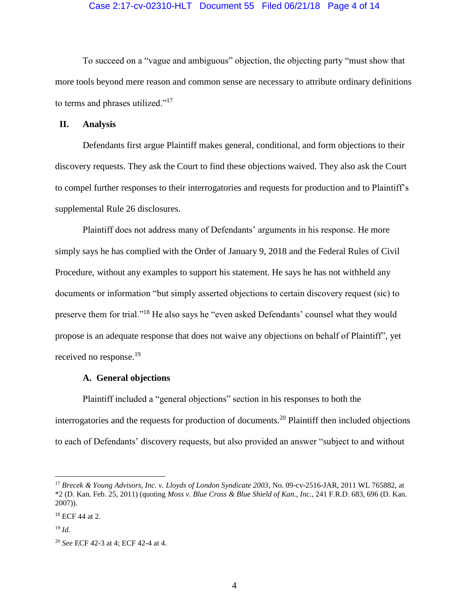### Case 2:17-cv-02310-HLT Document 55 Filed 06/21/18 Page 4 of 14

To succeed on a "vague and ambiguous" objection, the objecting party "must show that more tools beyond mere reason and common sense are necessary to attribute ordinary definitions to terms and phrases utilized."<sup>17</sup>

### **II. Analysis**

Defendants first argue Plaintiff makes general, conditional, and form objections to their discovery requests. They ask the Court to find these objections waived. They also ask the Court to compel further responses to their interrogatories and requests for production and to Plaintiff's supplemental Rule 26 disclosures.

Plaintiff does not address many of Defendants' arguments in his response. He more simply says he has complied with the Order of January 9, 2018 and the Federal Rules of Civil Procedure, without any examples to support his statement. He says he has not withheld any documents or information "but simply asserted objections to certain discovery request (sic) to preserve them for trial."<sup>18</sup> He also says he "even asked Defendants' counsel what they would propose is an adequate response that does not waive any objections on behalf of Plaintiff", yet received no response.<sup>19</sup>

### **A. General objections**

Plaintiff included a "general objections" section in his responses to both the interrogatories and the requests for production of documents.<sup>20</sup> Plaintiff then included objections to each of Defendants' discovery requests, but also provided an answer "subject to and without

<sup>17</sup> *Brecek & Young Advisors, Inc. v. Lloyds of London Syndicate 2003*, No. 09-cv-2516-JAR, 2011 WL 765882, at \*2 (D. Kan. Feb. 25, 2011) (quoting *Moss v. Blue Cross & Blue Shield of Kan., Inc.*, 241 F.R.D. 683, 696 (D. Kan. 2007)).

<sup>18</sup> ECF 44 at 2.

<sup>19</sup> *Id.*

<sup>20</sup> *See* ECF 42-3 at 4; ECF 42-4 at 4.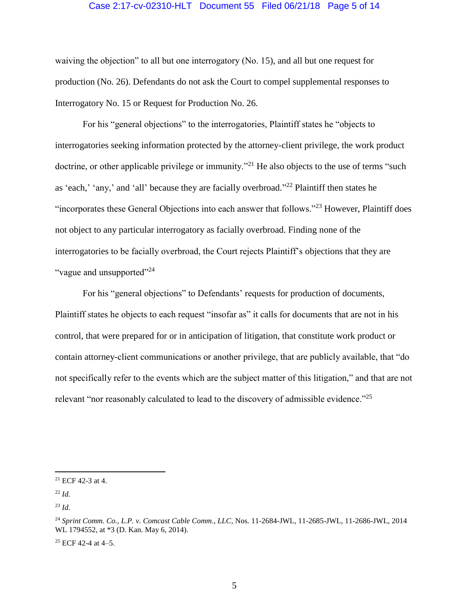### Case 2:17-cv-02310-HLT Document 55 Filed 06/21/18 Page 5 of 14

waiving the objection" to all but one interrogatory (No. 15), and all but one request for production (No. 26). Defendants do not ask the Court to compel supplemental responses to Interrogatory No. 15 or Request for Production No. 26.

For his "general objections" to the interrogatories, Plaintiff states he "objects to interrogatories seeking information protected by the attorney-client privilege, the work product doctrine, or other applicable privilege or immunity.<sup>"21</sup> He also objects to the use of terms "such as 'each,' 'any,' and 'all' because they are facially overbroad."<sup>22</sup> Plaintiff then states he "incorporates these General Objections into each answer that follows."<sup>23</sup> However, Plaintiff does not object to any particular interrogatory as facially overbroad. Finding none of the interrogatories to be facially overbroad, the Court rejects Plaintiff's objections that they are "vague and unsupported"<sup>24</sup>

For his "general objections" to Defendants' requests for production of documents, Plaintiff states he objects to each request "insofar as" it calls for documents that are not in his control, that were prepared for or in anticipation of litigation, that constitute work product or contain attorney-client communications or another privilege, that are publicly available, that "do not specifically refer to the events which are the subject matter of this litigation," and that are not relevant "nor reasonably calculated to lead to the discovery of admissible evidence."<sup>25</sup>

 $\overline{a}$ 

 $25$  ECF 42-4 at 4-5.

<sup>21</sup> ECF 42-3 at 4.

<sup>22</sup> *Id.*

<sup>23</sup> *Id.*

<sup>24</sup> *Sprint Comm. Co., L.P. v. Comcast Cable Comm., LLC*, Nos. 11-2684-JWL, 11-2685-JWL, 11-2686-JWL, 2014 WL 1794552, at \*3 (D. Kan. May 6, 2014).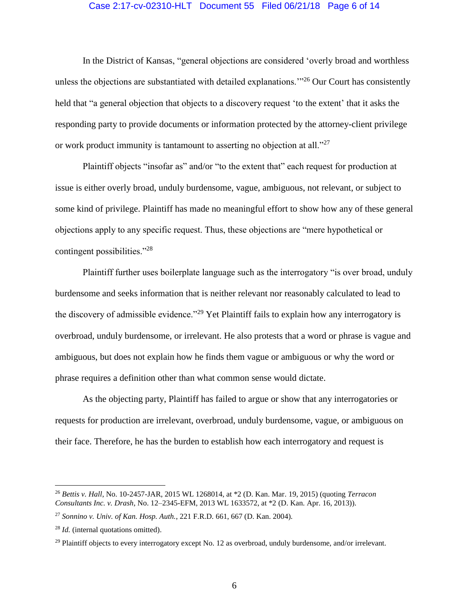### Case 2:17-cv-02310-HLT Document 55 Filed 06/21/18 Page 6 of 14

In the District of Kansas, "general objections are considered 'overly broad and worthless unless the objections are substantiated with detailed explanations.<sup>"26</sup> Our Court has consistently held that "a general objection that objects to a discovery request 'to the extent' that it asks the responding party to provide documents or information protected by the attorney-client privilege or work product immunity is tantamount to asserting no objection at all."<sup>27</sup>

Plaintiff objects "insofar as" and/or "to the extent that" each request for production at issue is either overly broad, unduly burdensome, vague, ambiguous, not relevant, or subject to some kind of privilege. Plaintiff has made no meaningful effort to show how any of these general objections apply to any specific request. Thus, these objections are "mere hypothetical or contingent possibilities."<sup>28</sup>

Plaintiff further uses boilerplate language such as the interrogatory "is over broad, unduly burdensome and seeks information that is neither relevant nor reasonably calculated to lead to the discovery of admissible evidence."<sup>29</sup> Yet Plaintiff fails to explain how any interrogatory is overbroad, unduly burdensome, or irrelevant. He also protests that a word or phrase is vague and ambiguous, but does not explain how he finds them vague or ambiguous or why the word or phrase requires a definition other than what common sense would dictate.

As the objecting party, Plaintiff has failed to argue or show that any interrogatories or requests for production are irrelevant, overbroad, unduly burdensome, vague, or ambiguous on their face. Therefore, he has the burden to establish how each interrogatory and request is

<sup>26</sup> *Bettis v. Hall*, No. 10-2457-JAR, 2015 WL 1268014, at \*2 (D. Kan. Mar. 19, 2015) (quoting *Terracon Consultants Inc. v. Drash*, No. 12–2345-EFM, 2013 WL 1633572, at \*2 (D. Kan. Apr. 16, 2013)).

<sup>27</sup> *Sonnino v. Univ. of Kan. Hosp. Auth.*, 221 F.R.D. 661, 667 (D. Kan. 2004).

<sup>28</sup> *Id.* (internal quotations omitted).

<sup>&</sup>lt;sup>29</sup> Plaintiff objects to every interrogatory except No. 12 as overbroad, unduly burdensome, and/or irrelevant.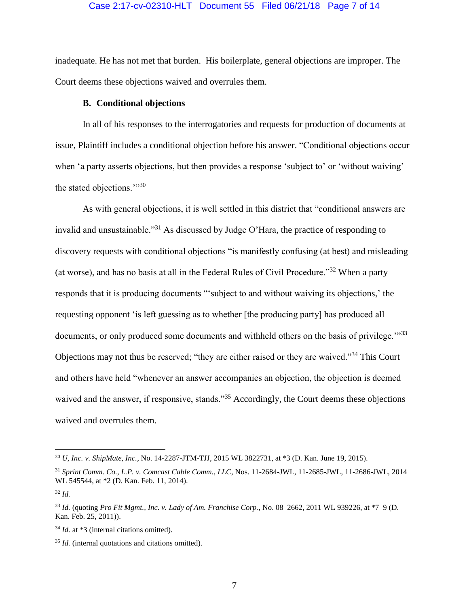### Case 2:17-cv-02310-HLT Document 55 Filed 06/21/18 Page 7 of 14

inadequate. He has not met that burden. His boilerplate, general objections are improper. The Court deems these objections waived and overrules them.

### **B. Conditional objections**

In all of his responses to the interrogatories and requests for production of documents at issue, Plaintiff includes a conditional objection before his answer. "Conditional objections occur when 'a party asserts objections, but then provides a response 'subject to' or 'without waiving' the stated objections.'"<sup>30</sup>

As with general objections, it is well settled in this district that "conditional answers are invalid and unsustainable."<sup>31</sup> As discussed by Judge O'Hara, the practice of responding to discovery requests with conditional objections "is manifestly confusing (at best) and misleading (at worse), and has no basis at all in the Federal Rules of Civil Procedure."<sup>32</sup> When a party responds that it is producing documents "'subject to and without waiving its objections,' the requesting opponent 'is left guessing as to whether [the producing party] has produced all documents, or only produced some documents and withheld others on the basis of privilege."<sup>33</sup> Objections may not thus be reserved; "they are either raised or they are waived."<sup>34</sup> This Court and others have held "whenever an answer accompanies an objection, the objection is deemed waived and the answer, if responsive, stands."<sup>35</sup> Accordingly, the Court deems these objections waived and overrules them.

<sup>30</sup> *U, Inc. v. ShipMate, Inc.*, No. 14-2287-JTM-TJJ, 2015 WL 3822731, at \*3 (D. Kan. June 19, 2015).

<sup>31</sup> *Sprint Comm. Co., L.P. v. Comcast Cable Comm., LLC*, Nos. 11-2684-JWL, 11-2685-JWL, 11-2686-JWL, 2014 WL 545544, at \*2 (D. Kan. Feb. 11, 2014).

<sup>32</sup> *Id.*

<sup>33</sup> *Id.* (quoting *Pro Fit Mgmt., Inc. v. Lady of Am. Franchise Corp.*, No. 08–2662, 2011 WL 939226, at \*7–9 (D. Kan. Feb. 25, 2011)).

<sup>34</sup> *Id.* at \*3 (internal citations omitted).

<sup>35</sup> *Id.* (internal quotations and citations omitted).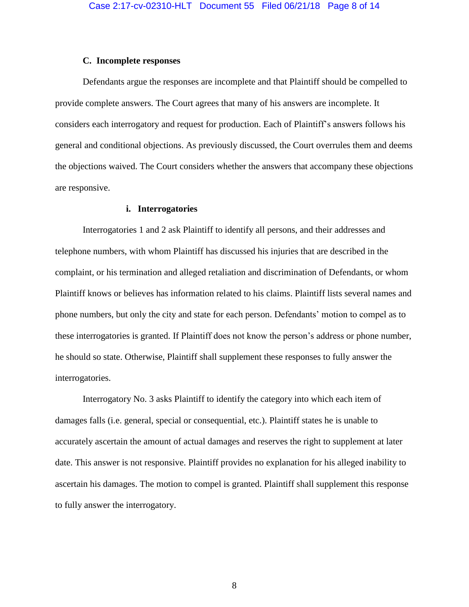#### **C. Incomplete responses**

Defendants argue the responses are incomplete and that Plaintiff should be compelled to provide complete answers. The Court agrees that many of his answers are incomplete. It considers each interrogatory and request for production. Each of Plaintiff's answers follows his general and conditional objections. As previously discussed, the Court overrules them and deems the objections waived. The Court considers whether the answers that accompany these objections are responsive.

#### **i. Interrogatories**

Interrogatories 1 and 2 ask Plaintiff to identify all persons, and their addresses and telephone numbers, with whom Plaintiff has discussed his injuries that are described in the complaint, or his termination and alleged retaliation and discrimination of Defendants, or whom Plaintiff knows or believes has information related to his claims. Plaintiff lists several names and phone numbers, but only the city and state for each person. Defendants' motion to compel as to these interrogatories is granted. If Plaintiff does not know the person's address or phone number, he should so state. Otherwise, Plaintiff shall supplement these responses to fully answer the interrogatories.

Interrogatory No. 3 asks Plaintiff to identify the category into which each item of damages falls (i.e. general, special or consequential, etc.). Plaintiff states he is unable to accurately ascertain the amount of actual damages and reserves the right to supplement at later date. This answer is not responsive. Plaintiff provides no explanation for his alleged inability to ascertain his damages. The motion to compel is granted. Plaintiff shall supplement this response to fully answer the interrogatory.

8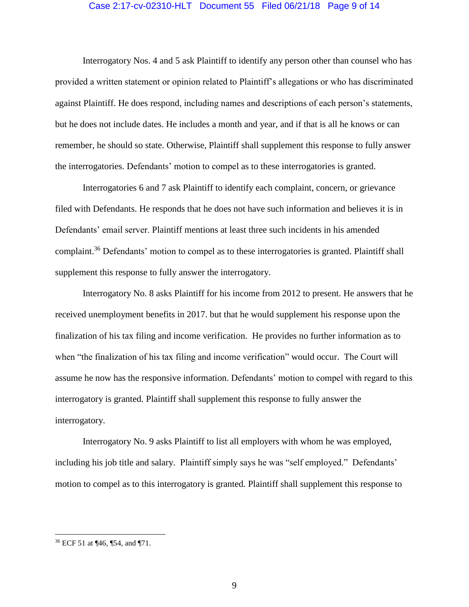#### Case 2:17-cv-02310-HLT Document 55 Filed 06/21/18 Page 9 of 14

Interrogatory Nos. 4 and 5 ask Plaintiff to identify any person other than counsel who has provided a written statement or opinion related to Plaintiff's allegations or who has discriminated against Plaintiff. He does respond, including names and descriptions of each person's statements, but he does not include dates. He includes a month and year, and if that is all he knows or can remember, he should so state. Otherwise, Plaintiff shall supplement this response to fully answer the interrogatories. Defendants' motion to compel as to these interrogatories is granted.

Interrogatories 6 and 7 ask Plaintiff to identify each complaint, concern, or grievance filed with Defendants. He responds that he does not have such information and believes it is in Defendants' email server. Plaintiff mentions at least three such incidents in his amended complaint.<sup>36</sup> Defendants' motion to compel as to these interrogatories is granted. Plaintiff shall supplement this response to fully answer the interrogatory.

Interrogatory No. 8 asks Plaintiff for his income from 2012 to present. He answers that he received unemployment benefits in 2017. but that he would supplement his response upon the finalization of his tax filing and income verification. He provides no further information as to when "the finalization of his tax filing and income verification" would occur. The Court will assume he now has the responsive information. Defendants' motion to compel with regard to this interrogatory is granted. Plaintiff shall supplement this response to fully answer the interrogatory.

Interrogatory No. 9 asks Plaintiff to list all employers with whom he was employed, including his job title and salary. Plaintiff simply says he was "self employed." Defendants' motion to compel as to this interrogatory is granted. Plaintiff shall supplement this response to

<sup>36</sup> ECF 51 at ¶46, ¶54, and ¶71.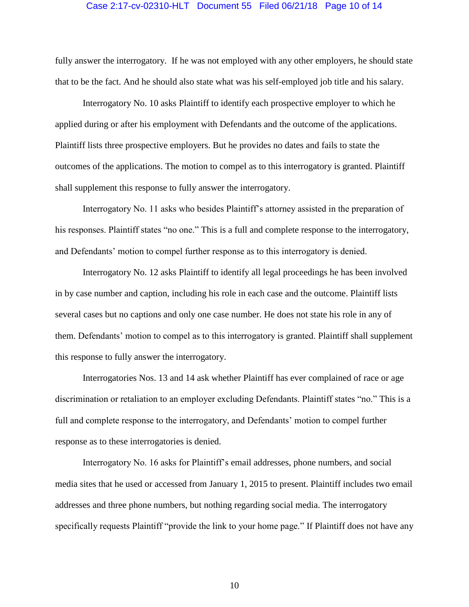### Case 2:17-cv-02310-HLT Document 55 Filed 06/21/18 Page 10 of 14

fully answer the interrogatory. If he was not employed with any other employers, he should state that to be the fact. And he should also state what was his self-employed job title and his salary.

Interrogatory No. 10 asks Plaintiff to identify each prospective employer to which he applied during or after his employment with Defendants and the outcome of the applications. Plaintiff lists three prospective employers. But he provides no dates and fails to state the outcomes of the applications. The motion to compel as to this interrogatory is granted. Plaintiff shall supplement this response to fully answer the interrogatory.

Interrogatory No. 11 asks who besides Plaintiff's attorney assisted in the preparation of his responses. Plaintiff states "no one." This is a full and complete response to the interrogatory, and Defendants' motion to compel further response as to this interrogatory is denied.

Interrogatory No. 12 asks Plaintiff to identify all legal proceedings he has been involved in by case number and caption, including his role in each case and the outcome. Plaintiff lists several cases but no captions and only one case number. He does not state his role in any of them. Defendants' motion to compel as to this interrogatory is granted. Plaintiff shall supplement this response to fully answer the interrogatory.

Interrogatories Nos. 13 and 14 ask whether Plaintiff has ever complained of race or age discrimination or retaliation to an employer excluding Defendants. Plaintiff states "no." This is a full and complete response to the interrogatory, and Defendants' motion to compel further response as to these interrogatories is denied.

Interrogatory No. 16 asks for Plaintiff's email addresses, phone numbers, and social media sites that he used or accessed from January 1, 2015 to present. Plaintiff includes two email addresses and three phone numbers, but nothing regarding social media. The interrogatory specifically requests Plaintiff "provide the link to your home page." If Plaintiff does not have any

10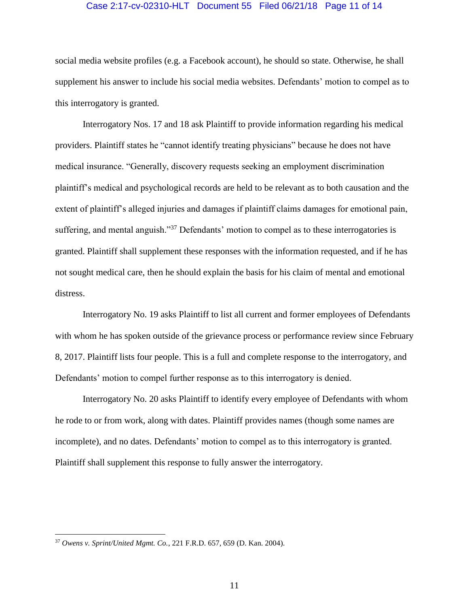### Case 2:17-cv-02310-HLT Document 55 Filed 06/21/18 Page 11 of 14

social media website profiles (e.g. a Facebook account), he should so state. Otherwise, he shall supplement his answer to include his social media websites. Defendants' motion to compel as to this interrogatory is granted.

Interrogatory Nos. 17 and 18 ask Plaintiff to provide information regarding his medical providers. Plaintiff states he "cannot identify treating physicians" because he does not have medical insurance. "Generally, discovery requests seeking an employment discrimination plaintiff's medical and psychological records are held to be relevant as to both causation and the extent of plaintiff's alleged injuries and damages if plaintiff claims damages for emotional pain, suffering, and mental anguish."<sup>37</sup> Defendants' motion to compel as to these interrogatories is granted. Plaintiff shall supplement these responses with the information requested, and if he has not sought medical care, then he should explain the basis for his claim of mental and emotional distress.

Interrogatory No. 19 asks Plaintiff to list all current and former employees of Defendants with whom he has spoken outside of the grievance process or performance review since February 8, 2017. Plaintiff lists four people. This is a full and complete response to the interrogatory, and Defendants' motion to compel further response as to this interrogatory is denied.

Interrogatory No. 20 asks Plaintiff to identify every employee of Defendants with whom he rode to or from work, along with dates. Plaintiff provides names (though some names are incomplete), and no dates. Defendants' motion to compel as to this interrogatory is granted. Plaintiff shall supplement this response to fully answer the interrogatory.

<sup>37</sup> *Owens v. Sprint/United Mgmt. Co.*, 221 F.R.D. 657, 659 (D. Kan. 2004).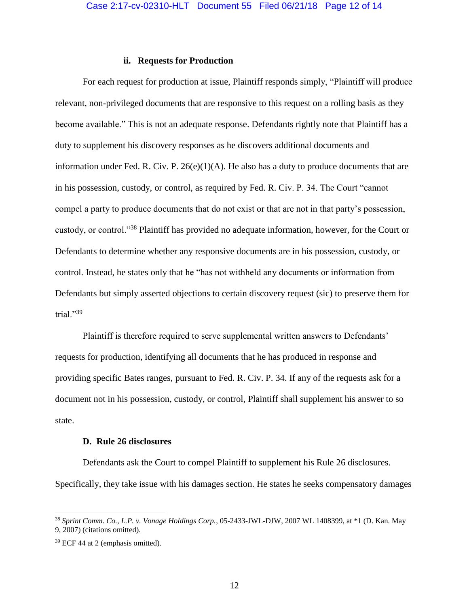#### **ii. Requests for Production**

For each request for production at issue, Plaintiff responds simply, "Plaintiff will produce relevant, non-privileged documents that are responsive to this request on a rolling basis as they become available." This is not an adequate response. Defendants rightly note that Plaintiff has a duty to supplement his discovery responses as he discovers additional documents and information under Fed. R. Civ. P.  $26(e)(1)(A)$ . He also has a duty to produce documents that are in his possession, custody, or control, as required by Fed. R. Civ. P. 34. The Court "cannot compel a party to produce documents that do not exist or that are not in that party's possession, custody, or control."<sup>38</sup> Plaintiff has provided no adequate information, however, for the Court or Defendants to determine whether any responsive documents are in his possession, custody, or control. Instead, he states only that he "has not withheld any documents or information from Defendants but simply asserted objections to certain discovery request (sic) to preserve them for trial."39

Plaintiff is therefore required to serve supplemental written answers to Defendants' requests for production, identifying all documents that he has produced in response and providing specific Bates ranges, pursuant to Fed. R. Civ. P. 34. If any of the requests ask for a document not in his possession, custody, or control, Plaintiff shall supplement his answer to so state.

#### **D. Rule 26 disclosures**

Defendants ask the Court to compel Plaintiff to supplement his Rule 26 disclosures. Specifically, they take issue with his damages section. He states he seeks compensatory damages

<sup>38</sup> *Sprint Comm. Co., L.P. v. Vonage Holdings Corp.*, 05-2433-JWL-DJW, 2007 WL 1408399, at \*1 (D. Kan. May 9, 2007) (citations omitted).

<sup>39</sup> ECF 44 at 2 (emphasis omitted).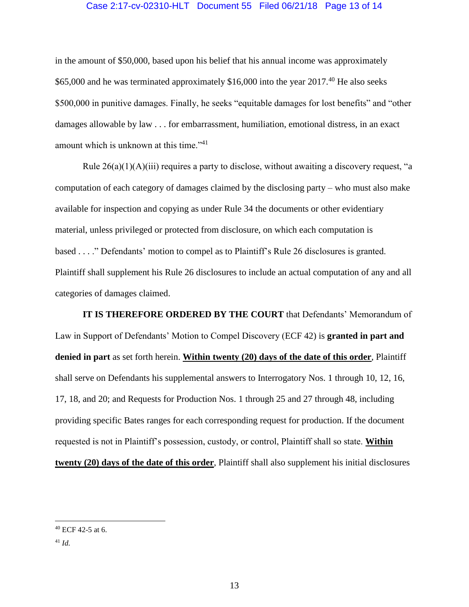### Case 2:17-cv-02310-HLT Document 55 Filed 06/21/18 Page 13 of 14

in the amount of \$50,000, based upon his belief that his annual income was approximately \$65,000 and he was terminated approximately \$16,000 into the year  $2017<sup>40</sup>$  He also seeks \$500,000 in punitive damages. Finally, he seeks "equitable damages for lost benefits" and "other damages allowable by law . . . for embarrassment, humiliation, emotional distress, in an exact amount which is unknown at this time."<sup>41</sup>

Rule  $26(a)(1)(A)(iii)$  requires a party to disclose, without awaiting a discovery request, "a computation of each category of damages claimed by the disclosing party – who must also make available for inspection and copying as under Rule 34 the documents or other evidentiary material, unless privileged or protected from disclosure, on which each computation is based . . . ." Defendants' motion to compel as to Plaintiff's Rule 26 disclosures is granted. Plaintiff shall supplement his Rule 26 disclosures to include an actual computation of any and all categories of damages claimed.

**IT IS THEREFORE ORDERED BY THE COURT** that Defendants' Memorandum of Law in Support of Defendants' Motion to Compel Discovery (ECF 42) is **granted in part and denied in part** as set forth herein. **Within twenty (20) days of the date of this order**, Plaintiff shall serve on Defendants his supplemental answers to Interrogatory Nos. 1 through 10, 12, 16, 17, 18, and 20; and Requests for Production Nos. 1 through 25 and 27 through 48, including providing specific Bates ranges for each corresponding request for production. If the document requested is not in Plaintiff's possession, custody, or control, Plaintiff shall so state. **Within twenty (20) days of the date of this order**, Plaintiff shall also supplement his initial disclosures

 $40$  ECF 42-5 at 6.

<sup>41</sup> *Id.*